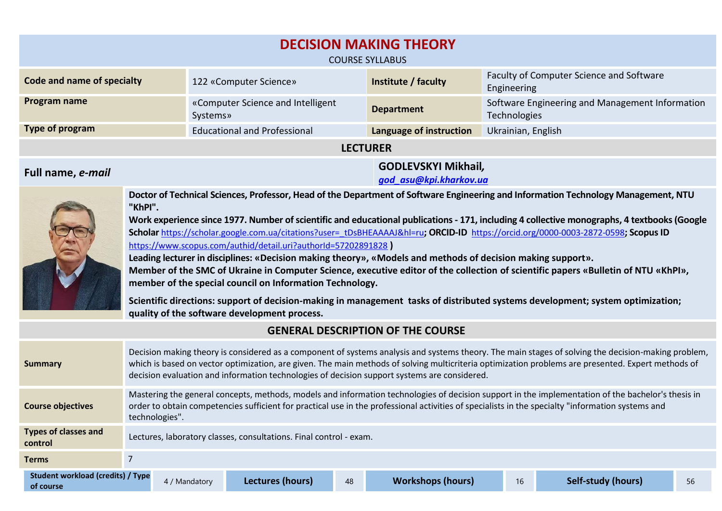| <b>DECISION MAKING THEORY</b><br><b>COURSE SYLLABUS</b>                                                                                                                                                                                                                                                                                               |                                                                                                                                                                                                                                                                                                                                                                                                           |               |                                                                                                                                                                           |    |                                                                                                             |                    |                                                                                                                                                                                                                                                                                                                                                                                                                                                                                                                                                                                                                                                                                                 |    |
|-------------------------------------------------------------------------------------------------------------------------------------------------------------------------------------------------------------------------------------------------------------------------------------------------------------------------------------------------------|-----------------------------------------------------------------------------------------------------------------------------------------------------------------------------------------------------------------------------------------------------------------------------------------------------------------------------------------------------------------------------------------------------------|---------------|---------------------------------------------------------------------------------------------------------------------------------------------------------------------------|----|-------------------------------------------------------------------------------------------------------------|--------------------|-------------------------------------------------------------------------------------------------------------------------------------------------------------------------------------------------------------------------------------------------------------------------------------------------------------------------------------------------------------------------------------------------------------------------------------------------------------------------------------------------------------------------------------------------------------------------------------------------------------------------------------------------------------------------------------------------|----|
| Code and name of specialty                                                                                                                                                                                                                                                                                                                            |                                                                                                                                                                                                                                                                                                                                                                                                           |               | 122 «Computer Science»                                                                                                                                                    |    | Institute / faculty                                                                                         |                    | Faculty of Computer Science and Software<br>Engineering                                                                                                                                                                                                                                                                                                                                                                                                                                                                                                                                                                                                                                         |    |
| Program name                                                                                                                                                                                                                                                                                                                                          |                                                                                                                                                                                                                                                                                                                                                                                                           | Systems»      | «Computer Science and Intelligent                                                                                                                                         |    | <b>Department</b>                                                                                           | Technologies       | Software Engineering and Management Information                                                                                                                                                                                                                                                                                                                                                                                                                                                                                                                                                                                                                                                 |    |
| Type of program                                                                                                                                                                                                                                                                                                                                       |                                                                                                                                                                                                                                                                                                                                                                                                           |               | <b>Educational and Professional</b>                                                                                                                                       |    | Language of instruction                                                                                     | Ukrainian, English |                                                                                                                                                                                                                                                                                                                                                                                                                                                                                                                                                                                                                                                                                                 |    |
|                                                                                                                                                                                                                                                                                                                                                       |                                                                                                                                                                                                                                                                                                                                                                                                           |               |                                                                                                                                                                           |    | <b>LECTURER</b>                                                                                             |                    |                                                                                                                                                                                                                                                                                                                                                                                                                                                                                                                                                                                                                                                                                                 |    |
| Full name, e-mail                                                                                                                                                                                                                                                                                                                                     |                                                                                                                                                                                                                                                                                                                                                                                                           |               | <b>GODLEVSKYI Mikhail,</b><br>god asu@kpi.kharkov.ua                                                                                                                      |    |                                                                                                             |                    |                                                                                                                                                                                                                                                                                                                                                                                                                                                                                                                                                                                                                                                                                                 |    |
|                                                                                                                                                                                                                                                                                                                                                       | "KhPI".                                                                                                                                                                                                                                                                                                                                                                                                   |               | https://www.scopus.com/authid/detail.uri?authorId=57202891828<br>member of the special council on Information Technology.<br>quality of the software development process. |    | Leading lecturer in disciplines: «Decision making theory», «Models and methods of decision making support». |                    | Doctor of Technical Sciences, Professor, Head of the Department of Software Engineering and Information Technology Management, NTU<br>Work experience since 1977. Number of scientific and educational publications - 171, including 4 collective monographs, 4 textbooks (Google<br>Scholar https://scholar.google.com.ua/citations?user=_tDsBHEAAAAJ&hl=ru; ORCID-ID_https://orcid.org/0000-0003-2872-0598; Scopus ID<br>Member of the SMC of Ukraine in Computer Science, executive editor of the collection of scientific papers «Bulletin of NTU «KhPI»,<br>Scientific directions: support of decision-making in management tasks of distributed systems development; system optimization; |    |
|                                                                                                                                                                                                                                                                                                                                                       |                                                                                                                                                                                                                                                                                                                                                                                                           |               |                                                                                                                                                                           |    | <b>GENERAL DESCRIPTION OF THE COURSE</b>                                                                    |                    |                                                                                                                                                                                                                                                                                                                                                                                                                                                                                                                                                                                                                                                                                                 |    |
| <b>Summary</b>                                                                                                                                                                                                                                                                                                                                        | Decision making theory is considered as a component of systems analysis and systems theory. The main stages of solving the decision-making problem,<br>which is based on vector optimization, are given. The main methods of solving multicriteria optimization problems are presented. Expert methods of<br>decision evaluation and information technologies of decision support systems are considered. |               |                                                                                                                                                                           |    |                                                                                                             |                    |                                                                                                                                                                                                                                                                                                                                                                                                                                                                                                                                                                                                                                                                                                 |    |
| Mastering the general concepts, methods, models and information technologies of decision support in the implementation of the bachelor's thesis in<br>order to obtain competencies sufficient for practical use in the professional activities of specialists in the specialty "information systems and<br><b>Course objectives</b><br>technologies". |                                                                                                                                                                                                                                                                                                                                                                                                           |               |                                                                                                                                                                           |    |                                                                                                             |                    |                                                                                                                                                                                                                                                                                                                                                                                                                                                                                                                                                                                                                                                                                                 |    |
| <b>Types of classes and</b><br>control                                                                                                                                                                                                                                                                                                                | Lectures, laboratory classes, consultations. Final control - exam.                                                                                                                                                                                                                                                                                                                                        |               |                                                                                                                                                                           |    |                                                                                                             |                    |                                                                                                                                                                                                                                                                                                                                                                                                                                                                                                                                                                                                                                                                                                 |    |
| <b>Terms</b>                                                                                                                                                                                                                                                                                                                                          | $\overline{7}$                                                                                                                                                                                                                                                                                                                                                                                            |               |                                                                                                                                                                           |    |                                                                                                             |                    |                                                                                                                                                                                                                                                                                                                                                                                                                                                                                                                                                                                                                                                                                                 |    |
| <b>Student workload (credits) / Type</b><br>of course                                                                                                                                                                                                                                                                                                 |                                                                                                                                                                                                                                                                                                                                                                                                           | 4 / Mandatory | <b>Lectures (hours)</b>                                                                                                                                                   | 48 | <b>Workshops (hours)</b>                                                                                    | 16                 | <b>Self-study (hours)</b>                                                                                                                                                                                                                                                                                                                                                                                                                                                                                                                                                                                                                                                                       | 56 |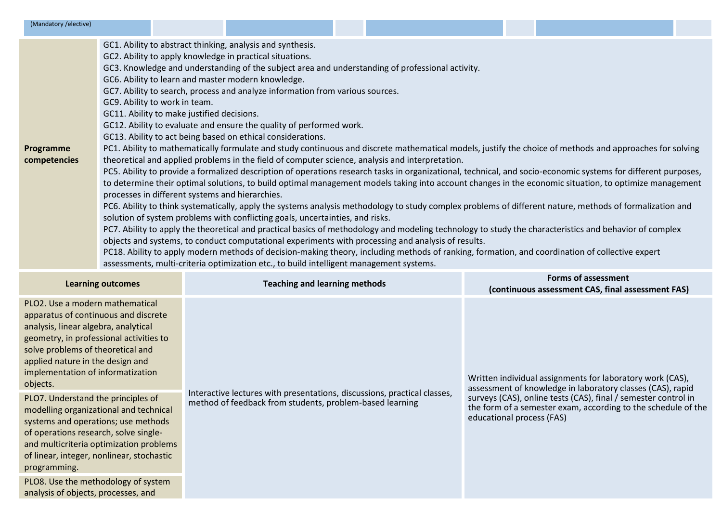| (Mandatory / elective)                                                                                                                                     |                          |                                                                                                                                |                                                                                                                                                                                                                                                                                                                                                                                                                                                                                                                                                                                 |                                                                                                                                                                                                                                                                                                                                                                                                                                                                                                                                                                                                                                                                                                                                                                                                                                                                                                                                                                                                                                                                                                                                                                                                                                                                            |                                                                                 |  |
|------------------------------------------------------------------------------------------------------------------------------------------------------------|--------------------------|--------------------------------------------------------------------------------------------------------------------------------|---------------------------------------------------------------------------------------------------------------------------------------------------------------------------------------------------------------------------------------------------------------------------------------------------------------------------------------------------------------------------------------------------------------------------------------------------------------------------------------------------------------------------------------------------------------------------------|----------------------------------------------------------------------------------------------------------------------------------------------------------------------------------------------------------------------------------------------------------------------------------------------------------------------------------------------------------------------------------------------------------------------------------------------------------------------------------------------------------------------------------------------------------------------------------------------------------------------------------------------------------------------------------------------------------------------------------------------------------------------------------------------------------------------------------------------------------------------------------------------------------------------------------------------------------------------------------------------------------------------------------------------------------------------------------------------------------------------------------------------------------------------------------------------------------------------------------------------------------------------------|---------------------------------------------------------------------------------|--|
| Programme<br>competencies                                                                                                                                  |                          | GC9. Ability to work in team.<br>GC11. Ability to make justified decisions.<br>processes in different systems and hierarchies. | GC1. Ability to abstract thinking, analysis and synthesis.<br>GC2. Ability to apply knowledge in practical situations.<br>GC6. Ability to learn and master modern knowledge.<br>GC7. Ability to search, process and analyze information from various sources.<br>GC12. Ability to evaluate and ensure the quality of performed work.<br>GC13. Ability to act being based on ethical considerations.<br>solution of system problems with conflicting goals, uncertainties, and risks.<br>assessments, multi-criteria optimization etc., to build intelligent management systems. | GC3. Knowledge and understanding of the subject area and understanding of professional activity.<br>PC1. Ability to mathematically formulate and study continuous and discrete mathematical models, justify the choice of methods and approaches for solving<br>theoretical and applied problems in the field of computer science, analysis and interpretation.<br>PC5. Ability to provide a formalized description of operations research tasks in organizational, technical, and socio-economic systems for different purposes,<br>to determine their optimal solutions, to build optimal management models taking into account changes in the economic situation, to optimize management<br>PC6. Ability to think systematically, apply the systems analysis methodology to study complex problems of different nature, methods of formalization and<br>PC7. Ability to apply the theoretical and practical basics of methodology and modeling technology to study the characteristics and behavior of complex<br>objects and systems, to conduct computational experiments with processing and analysis of results.<br>PC18. Ability to apply modern methods of decision-making theory, including methods of ranking, formation, and coordination of collective expert |                                                                                 |  |
|                                                                                                                                                            | <b>Learning outcomes</b> |                                                                                                                                | <b>Teaching and learning methods</b>                                                                                                                                                                                                                                                                                                                                                                                                                                                                                                                                            |                                                                                                                                                                                                                                                                                                                                                                                                                                                                                                                                                                                                                                                                                                                                                                                                                                                                                                                                                                                                                                                                                                                                                                                                                                                                            | <b>Forms of assessment</b><br>(continuous assessment CAS, final assessment FAS) |  |
| PLO2. Use a modern mathematical<br>apparatus of continuous and discrete<br>analysis, linear algebra, analytical<br>geometry, in professional activities to |                          |                                                                                                                                |                                                                                                                                                                                                                                                                                                                                                                                                                                                                                                                                                                                 |                                                                                                                                                                                                                                                                                                                                                                                                                                                                                                                                                                                                                                                                                                                                                                                                                                                                                                                                                                                                                                                                                                                                                                                                                                                                            |                                                                                 |  |

solve problems of theoretical and applied nature in the design and implementation of informatization

objects.

PLO7. Understand the principles of modelling organizational and technical systems and operations; use methods of operations research, solve singleand multicriteria optimization problems of linear, integer, nonlinear, stochastic programming.

PLO8. Use the methodology of system analysis of objects, processes, and

Interactive lectures with presentations, discussions, practical classes, method of feedback from students, problem-based learning

Written individual assignments for laboratory work (CAS), assessment of knowledge in laboratory classes (CAS), rapid surveys (CAS), online tests (CAS), final / semester control in the form of a semester exam, according to the schedule of the educational process (FAS)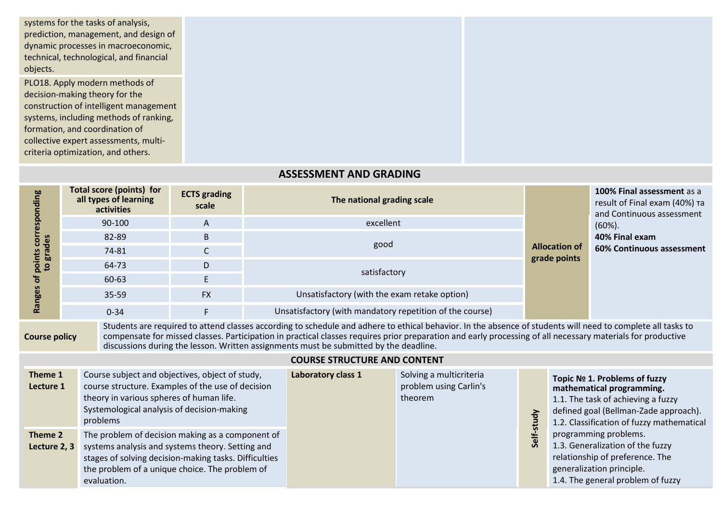systems for the tasks of analysis, prediction, management, and design of dynamic processes in macroeconomic, technical, technological, and financial objects. PLO18. Apply modern methods of decision-making theory for the construction of intelligent management systems, including methods of ranking, formation, and coordination of collective expert assessments, multicriteria optimization, and others.

## **ASSESSMENT AND GRADING**

| <b>bo</b>   | <b>Total score (points) for</b><br>all types of learning<br>activities | <b>ECTS</b> grading<br>scale | The national grading scale                               |                      | 100% Final assessment as a<br>result of Final exam (40%) та<br>and Continuous assessment |  |
|-------------|------------------------------------------------------------------------|------------------------------|----------------------------------------------------------|----------------------|------------------------------------------------------------------------------------------|--|
|             | 90-100                                                                 | $\mathsf{A}$                 | excellent                                                |                      | $(60\%).$                                                                                |  |
| cor<br>des  | 82-89                                                                  | B                            |                                                          |                      | 40% Final exam                                                                           |  |
| era<br>nts  | 74-81                                                                  |                              | good                                                     | <b>Allocation of</b> | 60% Continuous assessment                                                                |  |
| <u>ទី ១</u> | 64-73                                                                  | D                            |                                                          | grade points         |                                                                                          |  |
| ъ           | 60-63                                                                  |                              | satisfactory                                             |                      |                                                                                          |  |
|             | $35-59$                                                                | <b>FX</b>                    | Unsatisfactory (with the exam retake option)             |                      |                                                                                          |  |
| Rai         | $0 - 34$                                                               |                              | Unsatisfactory (with mandatory repetition of the course) |                      |                                                                                          |  |

**Course policy**

Students are required to attend classes according to schedule and adhere to ethical behavior. In the absence of students will need to complete all tasks to compensate for missed classes. Participation in practical classes requires prior preparation and early processing of all necessary materials for productive discussions during the lesson. Written assignments must be submitted by the deadline.

|                         | COONJE JIINOCI ONE AND CONTENT                                                                                                                                                                                                 |                    |                                                              |                     |                                                                                                                                                                                       |  |  |  |  |  |
|-------------------------|--------------------------------------------------------------------------------------------------------------------------------------------------------------------------------------------------------------------------------|--------------------|--------------------------------------------------------------|---------------------|---------------------------------------------------------------------------------------------------------------------------------------------------------------------------------------|--|--|--|--|--|
| Theme 1<br>Lecture 1    | Course subject and objectives, object of study,<br>course structure. Examples of the use of decision<br>theory in various spheres of human life.<br>Systemological analysis of decision-making<br>problems                     | Laboratory class 1 | Solving a multicriteria<br>problem using Carlin's<br>theorem | $\frac{1}{2}$<br>л. | Topic № 1. Problems of fuzzy<br>mathematical programming.<br>1.1. The task of achieving a fuzzy<br>defined goal (Bellman-Zade approach).<br>1.2. Classification of fuzzy mathematical |  |  |  |  |  |
| Theme 2<br>Lecture 2, 3 | The problem of decision making as a component of<br>systems analysis and systems theory. Setting and<br>stages of solving decision-making tasks. Difficulties<br>the problem of a unique choice. The problem of<br>evaluation. |                    |                                                              | ⊭<br>$\overline{S}$ | programming problems.<br>1.3. Generalization of the fuzzy<br>relationship of preference. The<br>generalization principle.<br>1.4. The general problem of fuzzy                        |  |  |  |  |  |

**COURSE STRUCTURE AND CONTENT**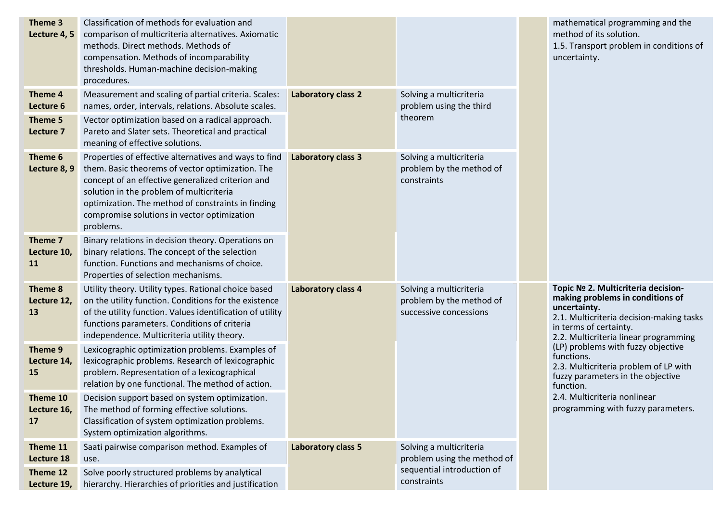| Theme 3<br>Lecture 4, 5             | Classification of methods for evaluation and<br>comparison of multicriteria alternatives. Axiomatic<br>methods. Direct methods. Methods of<br>compensation. Methods of incomparability<br>thresholds. Human-machine decision-making<br>procedures.                                                                           |                           |                                                                               |  | mathematical programming and the<br>method of its solution.<br>1.5. Transport problem in conditions of<br>uncertainty.                                                                                            |  |
|-------------------------------------|------------------------------------------------------------------------------------------------------------------------------------------------------------------------------------------------------------------------------------------------------------------------------------------------------------------------------|---------------------------|-------------------------------------------------------------------------------|--|-------------------------------------------------------------------------------------------------------------------------------------------------------------------------------------------------------------------|--|
| Theme 4<br>Lecture 6                | Measurement and scaling of partial criteria. Scales:<br>names, order, intervals, relations. Absolute scales.                                                                                                                                                                                                                 | <b>Laboratory class 2</b> | Solving a multicriteria<br>problem using the third                            |  |                                                                                                                                                                                                                   |  |
| Theme 5<br>Lecture 7                | Vector optimization based on a radical approach.<br>Pareto and Slater sets. Theoretical and practical<br>meaning of effective solutions.                                                                                                                                                                                     |                           | theorem                                                                       |  |                                                                                                                                                                                                                   |  |
| Theme 6<br>Lecture 8, 9             | Properties of effective alternatives and ways to find<br>them. Basic theorems of vector optimization. The<br>concept of an effective generalized criterion and<br>solution in the problem of multicriteria<br>optimization. The method of constraints in finding<br>compromise solutions in vector optimization<br>problems. | <b>Laboratory class 3</b> | Solving a multicriteria<br>problem by the method of<br>constraints            |  |                                                                                                                                                                                                                   |  |
| Theme 7<br>Lecture 10,<br>11        | Binary relations in decision theory. Operations on<br>binary relations. The concept of the selection<br>function. Functions and mechanisms of choice.<br>Properties of selection mechanisms.                                                                                                                                 |                           |                                                                               |  |                                                                                                                                                                                                                   |  |
| Theme 8<br>Lecture 12,<br>13        | Utility theory. Utility types. Rational choice based<br>on the utility function. Conditions for the existence<br>of the utility function. Values identification of utility<br>functions parameters. Conditions of criteria<br>independence. Multicriteria utility theory.                                                    | <b>Laboratory class 4</b> | Solving a multicriteria<br>problem by the method of<br>successive concessions |  | Topic № 2. Multicriteria decision-<br>making problems in conditions of<br>uncertainty.<br>2.1. Multicriteria decision-making tasks<br>in terms of certainty.<br>2.2. Multicriteria linear programming             |  |
| Theme 9<br>Lecture 14,<br><b>15</b> | Lexicographic optimization problems. Examples of<br>lexicographic problems. Research of lexicographic<br>problem. Representation of a lexicographical<br>relation by one functional. The method of action.                                                                                                                   |                           |                                                                               |  | (LP) problems with fuzzy objective<br>functions.<br>2.3. Multicriteria problem of LP with<br>fuzzy parameters in the objective<br>function.<br>2.4. Multicriteria nonlinear<br>programming with fuzzy parameters. |  |
| Theme 10<br>Lecture 16,<br>17       | Decision support based on system optimization.<br>The method of forming effective solutions.<br>Classification of system optimization problems.<br>System optimization algorithms.                                                                                                                                           |                           |                                                                               |  |                                                                                                                                                                                                                   |  |
| Theme 11<br>Lecture 18              | Saati pairwise comparison method. Examples of<br>use.                                                                                                                                                                                                                                                                        | <b>Laboratory class 5</b> | Solving a multicriteria<br>problem using the method of                        |  |                                                                                                                                                                                                                   |  |
| Theme 12<br>Lecture 19,             | Solve poorly structured problems by analytical<br>hierarchy. Hierarchies of priorities and justification                                                                                                                                                                                                                     |                           | sequential introduction of<br>constraints                                     |  |                                                                                                                                                                                                                   |  |